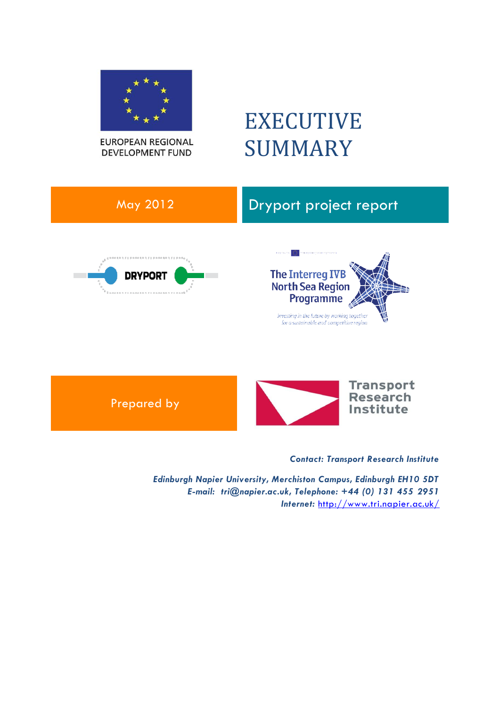

**EUROPEAN REGIONAL DEVELOPMENT FUND** 

# EXECUTIVE SUMMARY





*Contact: Transport Research Institute*

*Edinburgh Napier University, Merchiston Campus, Edinburgh EH10 5DT E-mail: tri@napier.ac.uk, Telephone: +44 (0) 131 455 2951 Internet:* <http://www.tri.napier.ac.uk/>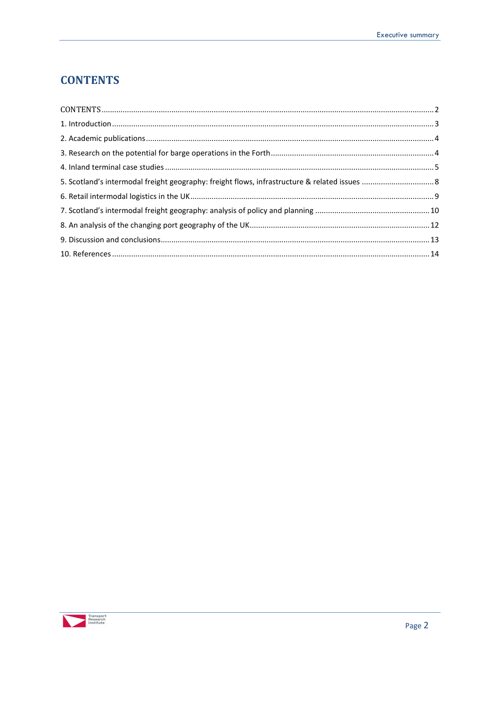## <span id="page-1-0"></span>**CONTENTS**

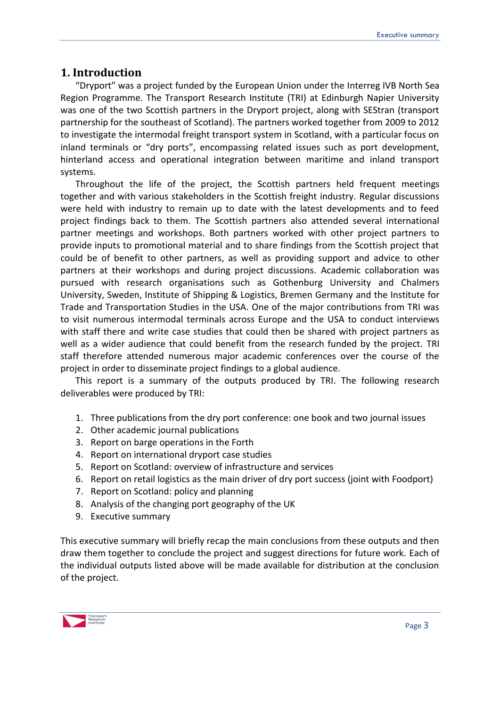## <span id="page-2-0"></span>**1. Introduction**

"Dryport" was a project funded by the European Union under the Interreg IVB North Sea Region Programme. The Transport Research Institute (TRI) at Edinburgh Napier University was one of the two Scottish partners in the Dryport project, along with SEStran (transport partnership for the southeast of Scotland). The partners worked together from 2009 to 2012 to investigate the intermodal freight transport system in Scotland, with a particular focus on inland terminals or "dry ports", encompassing related issues such as port development, hinterland access and operational integration between maritime and inland transport systems.

Throughout the life of the project, the Scottish partners held frequent meetings together and with various stakeholders in the Scottish freight industry. Regular discussions were held with industry to remain up to date with the latest developments and to feed project findings back to them. The Scottish partners also attended several international partner meetings and workshops. Both partners worked with other project partners to provide inputs to promotional material and to share findings from the Scottish project that could be of benefit to other partners, as well as providing support and advice to other partners at their workshops and during project discussions. Academic collaboration was pursued with research organisations such as Gothenburg University and Chalmers University, Sweden, Institute of Shipping & Logistics, Bremen Germany and the Institute for Trade and Transportation Studies in the USA. One of the major contributions from TRI was to visit numerous intermodal terminals across Europe and the USA to conduct interviews with staff there and write case studies that could then be shared with project partners as well as a wider audience that could benefit from the research funded by the project. TRI staff therefore attended numerous major academic conferences over the course of the project in order to disseminate project findings to a global audience.

This report is a summary of the outputs produced by TRI. The following research deliverables were produced by TRI:

- 1. Three publications from the dry port conference: one book and two journal issues
- 2. Other academic journal publications
- 3. Report on barge operations in the Forth
- 4. Report on international dryport case studies
- 5. Report on Scotland: overview of infrastructure and services
- 6. Report on retail logistics as the main driver of dry port success (joint with Foodport)
- 7. Report on Scotland: policy and planning
- 8. Analysis of the changing port geography of the UK
- 9. Executive summary

This executive summary will briefly recap the main conclusions from these outputs and then draw them together to conclude the project and suggest directions for future work. Each of the individual outputs listed above will be made available for distribution at the conclusion of the project.

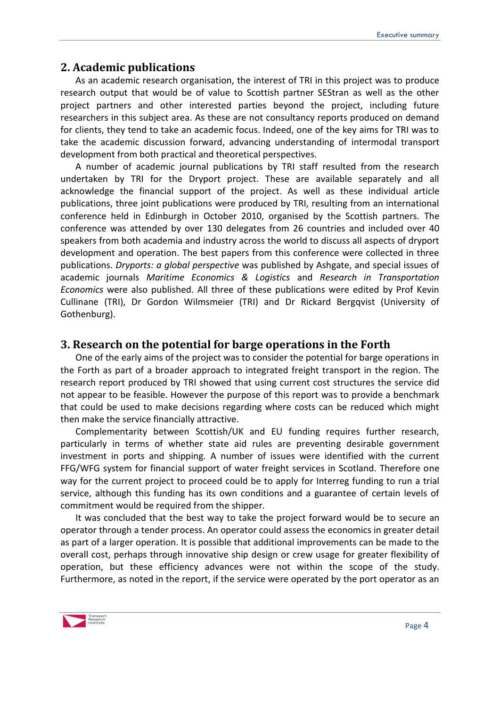#### <span id="page-3-0"></span>**2. Academic publications**

As an academic research organisation, the interest of TRI in this project was to produce research output that would be of value to Scottish partner SEStran as well as the other project partners and other interested parties beyond the project, including future researchers in this subject area. As these are not consultancy reports produced on demand for clients, they tend to take an academic focus. Indeed, one of the key aims for TRI was to take the academic discussion forward, advancing understanding of intermodal transport development from both practical and theoretical perspectives.

A number of academic journal publications by TRI staff resulted from the research undertaken by TRI for the Dryport project. These are available separately and all acknowledge the financial support of the project. As well as these individual article publications, three joint publications were produced by TRI, resulting from an international conference held in Edinburgh in October 2010, organised by the Scottish partners. The conference was attended by over 130 delegates from 26 countries and included over 40 speakers from both academia and industry across the world to discuss all aspects of dryport development and operation. The best papers from this conference were collected in three publications. *Dryports: a global perspective* was published by Ashgate, and special issues of academic journals *Maritime Economics & Logistics* and *Research in Transportation Economics* were also published. All three of these publications were edited by Prof Kevin Cullinane (TRI), Dr Gordon Wilmsmeier (TRI) and Dr Rickard Bergqvist (University of Gothenburg).

#### <span id="page-3-1"></span>**3. Research on the potential for barge operations in the Forth**

One of the early aims of the project was to consider the potential for barge operations in the Forth as part of a broader approach to integrated freight transport in the region. The research report produced by TRI showed that using current cost structures the service did not appear to be feasible. However the purpose of this report was to provide a benchmark that could be used to make decisions regarding where costs can be reduced which might then make the service financially attractive.

Complementarity between Scottish/UK and EU funding requires further research, particularly in terms of whether state aid rules are preventing desirable government investment in ports and shipping. A number of issues were identified with the current FFG/WFG system for financial support of water freight services in Scotland. Therefore one way for the current project to proceed could be to apply for Interreg funding to run a trial service, although this funding has its own conditions and a guarantee of certain levels of commitment would be required from the shipper.

It was concluded that the best way to take the project forward would be to secure an operator through a tender process. An operator could assess the economics in greater detail as part of a larger operation. It is possible that additional improvements can be made to the overall cost, perhaps through innovative ship design or crew usage for greater flexibility of operation, but these efficiency advances were not within the scope of the study. Furthermore, as noted in the report, if the service were operated by the port operator as an

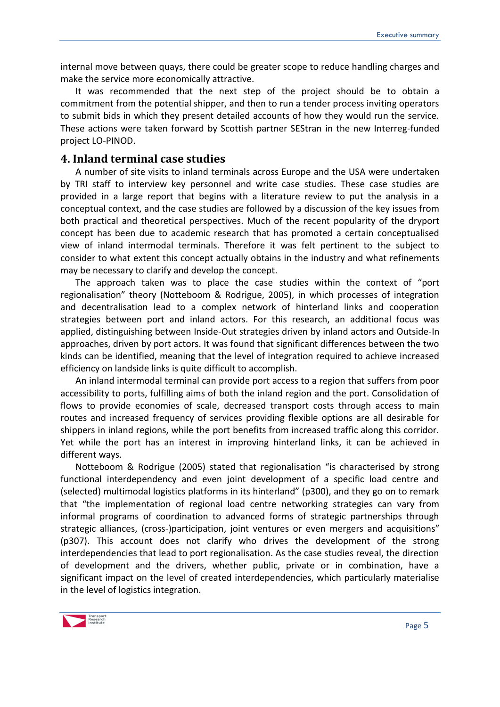internal move between quays, there could be greater scope to reduce handling charges and make the service more economically attractive.

It was recommended that the next step of the project should be to obtain a commitment from the potential shipper, and then to run a tender process inviting operators to submit bids in which they present detailed accounts of how they would run the service. These actions were taken forward by Scottish partner SEStran in the new Interreg-funded project LO-PINOD.

#### <span id="page-4-0"></span>**4. Inland terminal case studies**

A number of site visits to inland terminals across Europe and the USA were undertaken by TRI staff to interview key personnel and write case studies. These case studies are provided in a large report that begins with a literature review to put the analysis in a conceptual context, and the case studies are followed by a discussion of the key issues from both practical and theoretical perspectives. Much of the recent popularity of the dryport concept has been due to academic research that has promoted a certain conceptualised view of inland intermodal terminals. Therefore it was felt pertinent to the subject to consider to what extent this concept actually obtains in the industry and what refinements may be necessary to clarify and develop the concept.

The approach taken was to place the case studies within the context of "port regionalisation" theory (Notteboom & Rodrigue, 2005), in which processes of integration and decentralisation lead to a complex network of hinterland links and cooperation strategies between port and inland actors. For this research, an additional focus was applied, distinguishing between Inside-Out strategies driven by inland actors and Outside-In approaches, driven by port actors. It was found that significant differences between the two kinds can be identified, meaning that the level of integration required to achieve increased efficiency on landside links is quite difficult to accomplish.

An inland intermodal terminal can provide port access to a region that suffers from poor accessibility to ports, fulfilling aims of both the inland region and the port. Consolidation of flows to provide economies of scale, decreased transport costs through access to main routes and increased frequency of services providing flexible options are all desirable for shippers in inland regions, while the port benefits from increased traffic along this corridor. Yet while the port has an interest in improving hinterland links, it can be achieved in different ways.

Notteboom & Rodrigue (2005) stated that regionalisation "is characterised by strong functional interdependency and even joint development of a specific load centre and (selected) multimodal logistics platforms in its hinterland" (p300), and they go on to remark that "the implementation of regional load centre networking strategies can vary from informal programs of coordination to advanced forms of strategic partnerships through strategic alliances, (cross-)participation, joint ventures or even mergers and acquisitions" (p307). This account does not clarify who drives the development of the strong interdependencies that lead to port regionalisation. As the case studies reveal, the direction of development and the drivers, whether public, private or in combination, have a significant impact on the level of created interdependencies, which particularly materialise in the level of logistics integration.

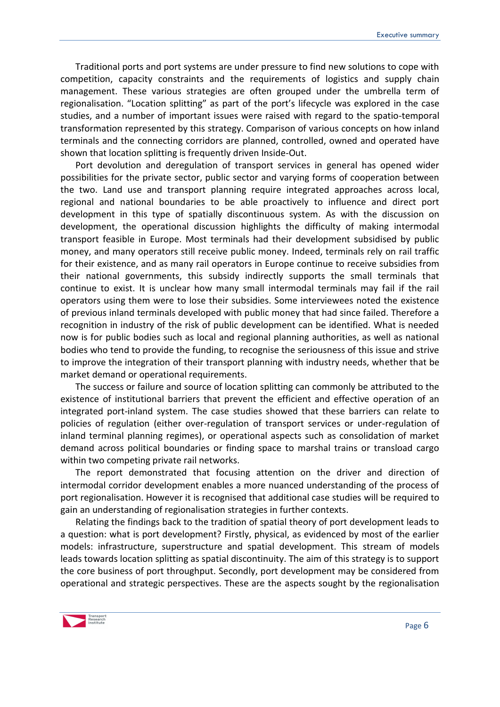Traditional ports and port systems are under pressure to find new solutions to cope with competition, capacity constraints and the requirements of logistics and supply chain management. These various strategies are often grouped under the umbrella term of regionalisation. "Location splitting" as part of the port's lifecycle was explored in the case studies, and a number of important issues were raised with regard to the spatio-temporal transformation represented by this strategy. Comparison of various concepts on how inland terminals and the connecting corridors are planned, controlled, owned and operated have shown that location splitting is frequently driven Inside-Out.

Port devolution and deregulation of transport services in general has opened wider possibilities for the private sector, public sector and varying forms of cooperation between the two. Land use and transport planning require integrated approaches across local, regional and national boundaries to be able proactively to influence and direct port development in this type of spatially discontinuous system. As with the discussion on development, the operational discussion highlights the difficulty of making intermodal transport feasible in Europe. Most terminals had their development subsidised by public money, and many operators still receive public money. Indeed, terminals rely on rail traffic for their existence, and as many rail operators in Europe continue to receive subsidies from their national governments, this subsidy indirectly supports the small terminals that continue to exist. It is unclear how many small intermodal terminals may fail if the rail operators using them were to lose their subsidies. Some interviewees noted the existence of previous inland terminals developed with public money that had since failed. Therefore a recognition in industry of the risk of public development can be identified. What is needed now is for public bodies such as local and regional planning authorities, as well as national bodies who tend to provide the funding, to recognise the seriousness of this issue and strive to improve the integration of their transport planning with industry needs, whether that be market demand or operational requirements.

The success or failure and source of location splitting can commonly be attributed to the existence of institutional barriers that prevent the efficient and effective operation of an integrated port-inland system. The case studies showed that these barriers can relate to policies of regulation (either over-regulation of transport services or under-regulation of inland terminal planning regimes), or operational aspects such as consolidation of market demand across political boundaries or finding space to marshal trains or transload cargo within two competing private rail networks.

The report demonstrated that focusing attention on the driver and direction of intermodal corridor development enables a more nuanced understanding of the process of port regionalisation. However it is recognised that additional case studies will be required to gain an understanding of regionalisation strategies in further contexts.

Relating the findings back to the tradition of spatial theory of port development leads to a question: what is port development? Firstly, physical, as evidenced by most of the earlier models: infrastructure, superstructure and spatial development. This stream of models leads towards location splitting as spatial discontinuity. The aim of this strategy is to support the core business of port throughput. Secondly, port development may be considered from operational and strategic perspectives. These are the aspects sought by the regionalisation

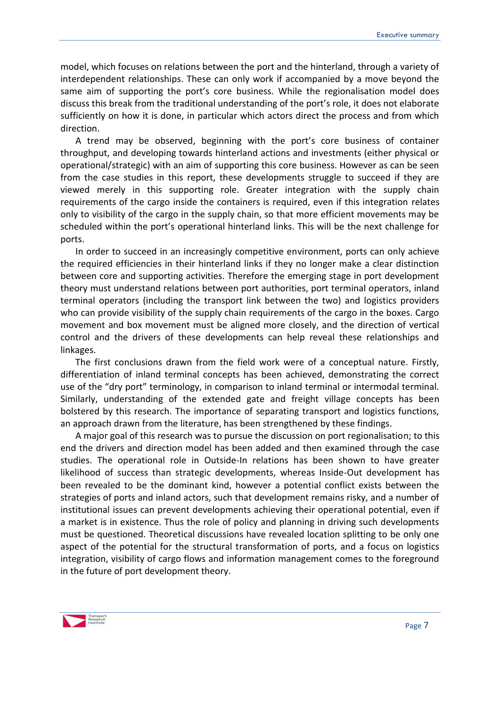model, which focuses on relations between the port and the hinterland, through a variety of interdependent relationships. These can only work if accompanied by a move beyond the same aim of supporting the port's core business. While the regionalisation model does discuss this break from the traditional understanding of the port's role, it does not elaborate sufficiently on how it is done, in particular which actors direct the process and from which direction.

A trend may be observed, beginning with the port's core business of container throughput, and developing towards hinterland actions and investments (either physical or operational/strategic) with an aim of supporting this core business. However as can be seen from the case studies in this report, these developments struggle to succeed if they are viewed merely in this supporting role. Greater integration with the supply chain requirements of the cargo inside the containers is required, even if this integration relates only to visibility of the cargo in the supply chain, so that more efficient movements may be scheduled within the port's operational hinterland links. This will be the next challenge for ports.

In order to succeed in an increasingly competitive environment, ports can only achieve the required efficiencies in their hinterland links if they no longer make a clear distinction between core and supporting activities. Therefore the emerging stage in port development theory must understand relations between port authorities, port terminal operators, inland terminal operators (including the transport link between the two) and logistics providers who can provide visibility of the supply chain requirements of the cargo in the boxes. Cargo movement and box movement must be aligned more closely, and the direction of vertical control and the drivers of these developments can help reveal these relationships and linkages.

The first conclusions drawn from the field work were of a conceptual nature. Firstly, differentiation of inland terminal concepts has been achieved, demonstrating the correct use of the "dry port" terminology, in comparison to inland terminal or intermodal terminal. Similarly, understanding of the extended gate and freight village concepts has been bolstered by this research. The importance of separating transport and logistics functions, an approach drawn from the literature, has been strengthened by these findings.

A major goal of this research was to pursue the discussion on port regionalisation; to this end the drivers and direction model has been added and then examined through the case studies. The operational role in Outside-In relations has been shown to have greater likelihood of success than strategic developments, whereas Inside-Out development has been revealed to be the dominant kind, however a potential conflict exists between the strategies of ports and inland actors, such that development remains risky, and a number of institutional issues can prevent developments achieving their operational potential, even if a market is in existence. Thus the role of policy and planning in driving such developments must be questioned. Theoretical discussions have revealed location splitting to be only one aspect of the potential for the structural transformation of ports, and a focus on logistics integration, visibility of cargo flows and information management comes to the foreground in the future of port development theory.

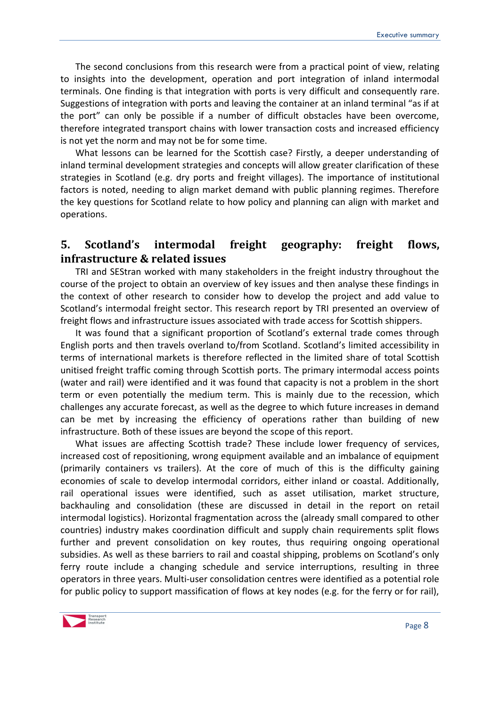The second conclusions from this research were from a practical point of view, relating to insights into the development, operation and port integration of inland intermodal terminals. One finding is that integration with ports is very difficult and consequently rare. Suggestions of integration with ports and leaving the container at an inland terminal "as if at the port" can only be possible if a number of difficult obstacles have been overcome, therefore integrated transport chains with lower transaction costs and increased efficiency is not yet the norm and may not be for some time.

What lessons can be learned for the Scottish case? Firstly, a deeper understanding of inland terminal development strategies and concepts will allow greater clarification of these strategies in Scotland (e.g. dry ports and freight villages). The importance of institutional factors is noted, needing to align market demand with public planning regimes. Therefore the key questions for Scotland relate to how policy and planning can align with market and operations.

## <span id="page-7-0"></span>**5. Scotland's intermodal freight geography: freight flows, infrastructure & related issues**

TRI and SEStran worked with many stakeholders in the freight industry throughout the course of the project to obtain an overview of key issues and then analyse these findings in the context of other research to consider how to develop the project and add value to Scotland's intermodal freight sector. This research report by TRI presented an overview of freight flows and infrastructure issues associated with trade access for Scottish shippers.

It was found that a significant proportion of Scotland's external trade comes through English ports and then travels overland to/from Scotland. Scotland's limited accessibility in terms of international markets is therefore reflected in the limited share of total Scottish unitised freight traffic coming through Scottish ports. The primary intermodal access points (water and rail) were identified and it was found that capacity is not a problem in the short term or even potentially the medium term. This is mainly due to the recession, which challenges any accurate forecast, as well as the degree to which future increases in demand can be met by increasing the efficiency of operations rather than building of new infrastructure. Both of these issues are beyond the scope of this report.

What issues are affecting Scottish trade? These include lower frequency of services, increased cost of repositioning, wrong equipment available and an imbalance of equipment (primarily containers vs trailers). At the core of much of this is the difficulty gaining economies of scale to develop intermodal corridors, either inland or coastal. Additionally, rail operational issues were identified, such as asset utilisation, market structure, backhauling and consolidation (these are discussed in detail in the report on retail intermodal logistics). Horizontal fragmentation across the (already small compared to other countries) industry makes coordination difficult and supply chain requirements split flows further and prevent consolidation on key routes, thus requiring ongoing operational subsidies. As well as these barriers to rail and coastal shipping, problems on Scotland's only ferry route include a changing schedule and service interruptions, resulting in three operators in three years. Multi-user consolidation centres were identified as a potential role for public policy to support massification of flows at key nodes (e.g. for the ferry or for rail),

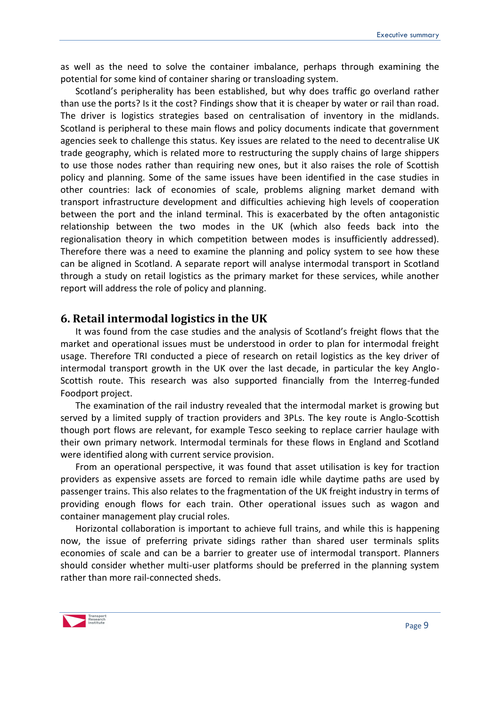as well as the need to solve the container imbalance, perhaps through examining the potential for some kind of container sharing or transloading system.

Scotland's peripherality has been established, but why does traffic go overland rather than use the ports? Is it the cost? Findings show that it is cheaper by water or rail than road. The driver is logistics strategies based on centralisation of inventory in the midlands. Scotland is peripheral to these main flows and policy documents indicate that government agencies seek to challenge this status. Key issues are related to the need to decentralise UK trade geography, which is related more to restructuring the supply chains of large shippers to use those nodes rather than requiring new ones, but it also raises the role of Scottish policy and planning. Some of the same issues have been identified in the case studies in other countries: lack of economies of scale, problems aligning market demand with transport infrastructure development and difficulties achieving high levels of cooperation between the port and the inland terminal. This is exacerbated by the often antagonistic relationship between the two modes in the UK (which also feeds back into the regionalisation theory in which competition between modes is insufficiently addressed). Therefore there was a need to examine the planning and policy system to see how these can be aligned in Scotland. A separate report will analyse intermodal transport in Scotland through a study on retail logistics as the primary market for these services, while another report will address the role of policy and planning.

#### <span id="page-8-0"></span>**6. Retail intermodal logistics in the UK**

It was found from the case studies and the analysis of Scotland's freight flows that the market and operational issues must be understood in order to plan for intermodal freight usage. Therefore TRI conducted a piece of research on retail logistics as the key driver of intermodal transport growth in the UK over the last decade, in particular the key Anglo-Scottish route. This research was also supported financially from the Interreg-funded Foodport project.

The examination of the rail industry revealed that the intermodal market is growing but served by a limited supply of traction providers and 3PLs. The key route is Anglo-Scottish though port flows are relevant, for example Tesco seeking to replace carrier haulage with their own primary network. Intermodal terminals for these flows in England and Scotland were identified along with current service provision.

From an operational perspective, it was found that asset utilisation is key for traction providers as expensive assets are forced to remain idle while daytime paths are used by passenger trains. This also relates to the fragmentation of the UK freight industry in terms of providing enough flows for each train. Other operational issues such as wagon and container management play crucial roles.

Horizontal collaboration is important to achieve full trains, and while this is happening now, the issue of preferring private sidings rather than shared user terminals splits economies of scale and can be a barrier to greater use of intermodal transport. Planners should consider whether multi-user platforms should be preferred in the planning system rather than more rail-connected sheds.

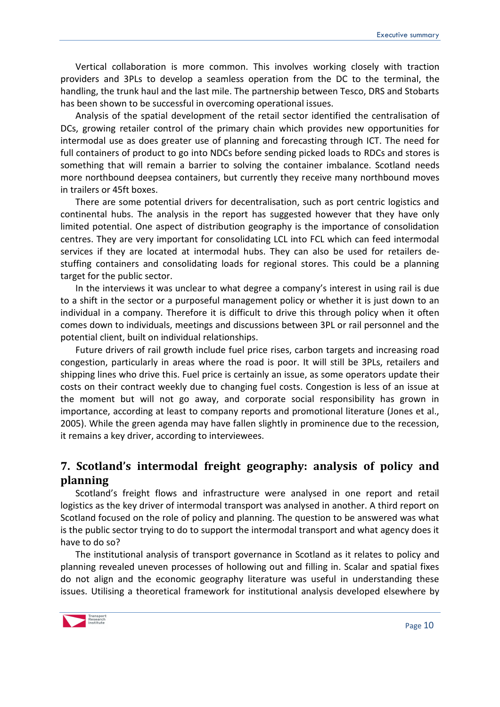Vertical collaboration is more common. This involves working closely with traction providers and 3PLs to develop a seamless operation from the DC to the terminal, the handling, the trunk haul and the last mile. The partnership between Tesco, DRS and Stobarts has been shown to be successful in overcoming operational issues.

Analysis of the spatial development of the retail sector identified the centralisation of DCs, growing retailer control of the primary chain which provides new opportunities for intermodal use as does greater use of planning and forecasting through ICT. The need for full containers of product to go into NDCs before sending picked loads to RDCs and stores is something that will remain a barrier to solving the container imbalance. Scotland needs more northbound deepsea containers, but currently they receive many northbound moves in trailers or 45ft boxes.

There are some potential drivers for decentralisation, such as port centric logistics and continental hubs. The analysis in the report has suggested however that they have only limited potential. One aspect of distribution geography is the importance of consolidation centres. They are very important for consolidating LCL into FCL which can feed intermodal services if they are located at intermodal hubs. They can also be used for retailers destuffing containers and consolidating loads for regional stores. This could be a planning target for the public sector.

In the interviews it was unclear to what degree a company's interest in using rail is due to a shift in the sector or a purposeful management policy or whether it is just down to an individual in a company. Therefore it is difficult to drive this through policy when it often comes down to individuals, meetings and discussions between 3PL or rail personnel and the potential client, built on individual relationships.

Future drivers of rail growth include fuel price rises, carbon targets and increasing road congestion, particularly in areas where the road is poor. It will still be 3PLs, retailers and shipping lines who drive this. Fuel price is certainly an issue, as some operators update their costs on their contract weekly due to changing fuel costs. Congestion is less of an issue at the moment but will not go away, and corporate social responsibility has grown in importance, according at least to company reports and promotional literature (Jones et al., 2005). While the green agenda may have fallen slightly in prominence due to the recession, it remains a key driver, according to interviewees.

## <span id="page-9-0"></span>**7. Scotland's intermodal freight geography: analysis of policy and planning**

Scotland's freight flows and infrastructure were analysed in one report and retail logistics as the key driver of intermodal transport was analysed in another. A third report on Scotland focused on the role of policy and planning. The question to be answered was what is the public sector trying to do to support the intermodal transport and what agency does it have to do so?

The institutional analysis of transport governance in Scotland as it relates to policy and planning revealed uneven processes of hollowing out and filling in. Scalar and spatial fixes do not align and the economic geography literature was useful in understanding these issues. Utilising a theoretical framework for institutional analysis developed elsewhere by

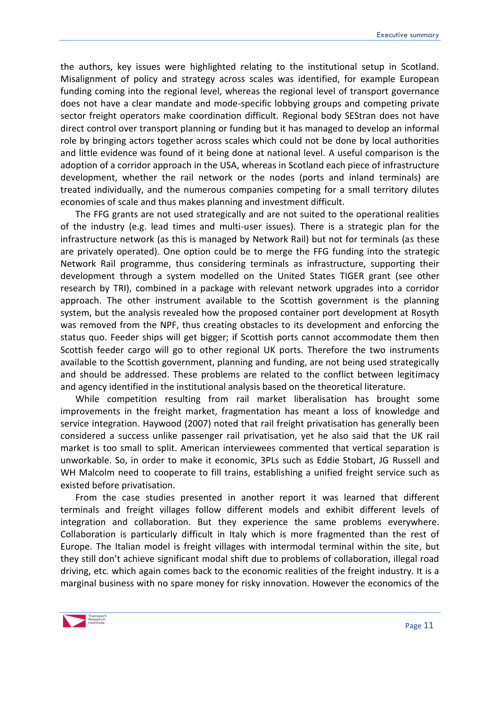the authors, key issues were highlighted relating to the institutional setup in Scotland. Misalignment of policy and strategy across scales was identified, for example European funding coming into the regional level, whereas the regional level of transport governance does not have a clear mandate and mode-specific lobbying groups and competing private sector freight operators make coordination difficult. Regional body SEStran does not have direct control over transport planning or funding but it has managed to develop an informal role by bringing actors together across scales which could not be done by local authorities and little evidence was found of it being done at national level. A useful comparison is the adoption of a corridor approach in the USA, whereas in Scotland each piece of infrastructure development, whether the rail network or the nodes (ports and inland terminals) are treated individually, and the numerous companies competing for a small territory dilutes economies of scale and thus makes planning and investment difficult.

The FFG grants are not used strategically and are not suited to the operational realities of the industry (e.g. lead times and multi-user issues). There is a strategic plan for the infrastructure network (as this is managed by Network Rail) but not for terminals (as these are privately operated). One option could be to merge the FFG funding into the strategic Network Rail programme, thus considering terminals as infrastructure, supporting their development through a system modelled on the United States TIGER grant (see other research by TRI), combined in a package with relevant network upgrades into a corridor approach. The other instrument available to the Scottish government is the planning system, but the analysis revealed how the proposed container port development at Rosyth was removed from the NPF, thus creating obstacles to its development and enforcing the status quo. Feeder ships will get bigger; if Scottish ports cannot accommodate them then Scottish feeder cargo will go to other regional UK ports. Therefore the two instruments available to the Scottish government, planning and funding, are not being used strategically and should be addressed. These problems are related to the conflict between legitimacy and agency identified in the institutional analysis based on the theoretical literature.

While competition resulting from rail market liberalisation has brought some improvements in the freight market, fragmentation has meant a loss of knowledge and service integration. Haywood (2007) noted that rail freight privatisation has generally been considered a success unlike passenger rail privatisation, yet he also said that the UK rail market is too small to split. American interviewees commented that vertical separation is unworkable. So, in order to make it economic, 3PLs such as Eddie Stobart, JG Russell and WH Malcolm need to cooperate to fill trains, establishing a unified freight service such as existed before privatisation.

From the case studies presented in another report it was learned that different terminals and freight villages follow different models and exhibit different levels of integration and collaboration. But they experience the same problems everywhere. Collaboration is particularly difficult in Italy which is more fragmented than the rest of Europe. The Italian model is freight villages with intermodal terminal within the site, but they still don't achieve significant modal shift due to problems of collaboration, illegal road driving, etc. which again comes back to the economic realities of the freight industry. It is a marginal business with no spare money for risky innovation. However the economics of the

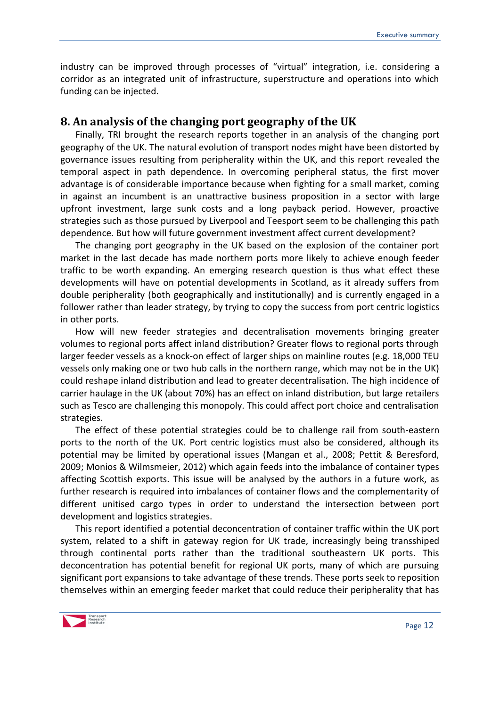industry can be improved through processes of "virtual" integration, i.e. considering a corridor as an integrated unit of infrastructure, superstructure and operations into which funding can be injected.

## <span id="page-11-0"></span>**8. An analysis of the changing port geography of the UK**

Finally, TRI brought the research reports together in an analysis of the changing port geography of the UK. The natural evolution of transport nodes might have been distorted by governance issues resulting from peripherality within the UK, and this report revealed the temporal aspect in path dependence. In overcoming peripheral status, the first mover advantage is of considerable importance because when fighting for a small market, coming in against an incumbent is an unattractive business proposition in a sector with large upfront investment, large sunk costs and a long payback period. However, proactive strategies such as those pursued by Liverpool and Teesport seem to be challenging this path dependence. But how will future government investment affect current development?

The changing port geography in the UK based on the explosion of the container port market in the last decade has made northern ports more likely to achieve enough feeder traffic to be worth expanding. An emerging research question is thus what effect these developments will have on potential developments in Scotland, as it already suffers from double peripherality (both geographically and institutionally) and is currently engaged in a follower rather than leader strategy, by trying to copy the success from port centric logistics in other ports.

How will new feeder strategies and decentralisation movements bringing greater volumes to regional ports affect inland distribution? Greater flows to regional ports through larger feeder vessels as a knock-on effect of larger ships on mainline routes (e.g. 18,000 TEU vessels only making one or two hub calls in the northern range, which may not be in the UK) could reshape inland distribution and lead to greater decentralisation. The high incidence of carrier haulage in the UK (about 70%) has an effect on inland distribution, but large retailers such as Tesco are challenging this monopoly. This could affect port choice and centralisation strategies.

The effect of these potential strategies could be to challenge rail from south-eastern ports to the north of the UK. Port centric logistics must also be considered, although its potential may be limited by operational issues (Mangan et al., 2008; Pettit & Beresford, 2009; Monios & Wilmsmeier, 2012) which again feeds into the imbalance of container types affecting Scottish exports. This issue will be analysed by the authors in a future work, as further research is required into imbalances of container flows and the complementarity of different unitised cargo types in order to understand the intersection between port development and logistics strategies.

This report identified a potential deconcentration of container traffic within the UK port system, related to a shift in gateway region for UK trade, increasingly being transshiped through continental ports rather than the traditional southeastern UK ports. This deconcentration has potential benefit for regional UK ports, many of which are pursuing significant port expansions to take advantage of these trends. These ports seek to reposition themselves within an emerging feeder market that could reduce their peripherality that has

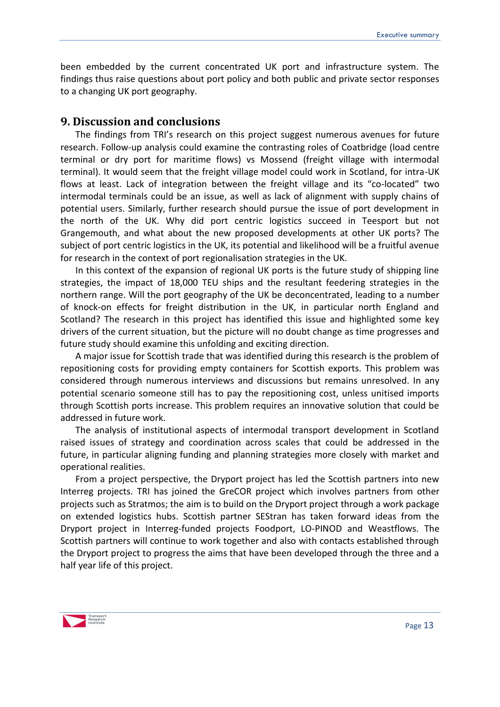been embedded by the current concentrated UK port and infrastructure system. The findings thus raise questions about port policy and both public and private sector responses to a changing UK port geography.

#### <span id="page-12-0"></span>**9. Discussion and conclusions**

The findings from TRI's research on this project suggest numerous avenues for future research. Follow-up analysis could examine the contrasting roles of Coatbridge (load centre terminal or dry port for maritime flows) vs Mossend (freight village with intermodal terminal). It would seem that the freight village model could work in Scotland, for intra-UK flows at least. Lack of integration between the freight village and its "co-located" two intermodal terminals could be an issue, as well as lack of alignment with supply chains of potential users. Similarly, further research should pursue the issue of port development in the north of the UK. Why did port centric logistics succeed in Teesport but not Grangemouth, and what about the new proposed developments at other UK ports? The subject of port centric logistics in the UK, its potential and likelihood will be a fruitful avenue for research in the context of port regionalisation strategies in the UK.

In this context of the expansion of regional UK ports is the future study of shipping line strategies, the impact of 18,000 TEU ships and the resultant feedering strategies in the northern range. Will the port geography of the UK be deconcentrated, leading to a number of knock-on effects for freight distribution in the UK, in particular north England and Scotland? The research in this project has identified this issue and highlighted some key drivers of the current situation, but the picture will no doubt change as time progresses and future study should examine this unfolding and exciting direction.

A major issue for Scottish trade that was identified during this research is the problem of repositioning costs for providing empty containers for Scottish exports. This problem was considered through numerous interviews and discussions but remains unresolved. In any potential scenario someone still has to pay the repositioning cost, unless unitised imports through Scottish ports increase. This problem requires an innovative solution that could be addressed in future work.

The analysis of institutional aspects of intermodal transport development in Scotland raised issues of strategy and coordination across scales that could be addressed in the future, in particular aligning funding and planning strategies more closely with market and operational realities.

From a project perspective, the Dryport project has led the Scottish partners into new Interreg projects. TRI has joined the GreCOR project which involves partners from other projects such as Stratmos; the aim is to build on the Dryport project through a work package on extended logistics hubs. Scottish partner SEStran has taken forward ideas from the Dryport project in Interreg-funded projects Foodport, LO-PINOD and Weastflows. The Scottish partners will continue to work together and also with contacts established through the Dryport project to progress the aims that have been developed through the three and a half year life of this project.